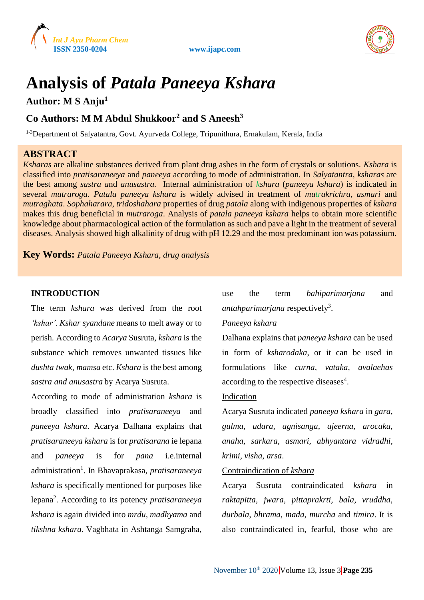





# **Analysis of** *Patala Paneeya Kshara*

**Author: M S Anju<sup>1</sup>**

# **Co Authors: M M Abdul Shukkoor<sup>2</sup> and S Aneesh<sup>3</sup>**

<sup>1-3</sup>Department of Salyatantra, Govt. Ayurveda College, Tripunithura, Ernakulam, Kerala, India

# **ABSTRACT**

*Ksharas* are alkaline substances derived from plant drug ashes in the form of crystals or solutions. *Kshara* is classified into *pratisaraneeya* and *paneeya* according to mode of administration. In *Salyatantra, ksharas* are the best among *sastra a*nd *anusastra.* Internal administration of *kshara* (*paneeya kshara*) is indicated in several *mutraroga*. *Patala paneeya kshara* is widely advised in treatment of *mutrakrichra, asmari* and *mutraghata*. *Sophaharara*, *tridoshahara* properties of drug *patala* along with indigenous properties of *kshara* makes this drug beneficial in *mutraroga*. Analysis of *patala paneeya kshara* helps to obtain more scientific knowledge about pharmacological action of the formulation as such and pave a light in the treatment of several diseases. Analysis showed high alkalinity of drug with pH 12.29 and the most predominant ion was potassium.

**Key Words:** *Patala Paneeya Kshara, drug analysis*

#### **INTRODUCTION**

The term *kshara* was derived from the root *'kshar'. Kshar syandane* meansto melt away or to perish. According to *Acarya* Susruta, *kshara* is the substance which removes unwanted tissues like *dushta twak, mamsa* etc. *Kshara* is the best among *sastra and anusastra* by Acarya Susruta.

According to mode of administration *kshara* is broadly classified into *pratisaraneeya* and *paneeya kshara*. Acarya Dalhana explains that *pratisaraneeya kshara* is for *pratisarana* ie lepana and *paneeya* is for *pana* i.e.internal administration<sup>1</sup> . In Bhavaprakasa, *pratisaraneeya kshara* is specifically mentioned for purposes like lepana<sup>2</sup> . According to its potency *pratisaraneeya kshara* is again divided into *mrdu, madhyama* and *tikshna kshara*. Vagbhata in Ashtanga Samgraha,

use the term *bahiparimarjana* and *antahparimarjana* respectively<sup>3</sup> .

#### *Paneeya kshara*

Dalhana explains that *paneeya kshara* can be used in form of *ksharodaka*, or it can be used in formulations like *curna, vataka, avalaehas* according to the respective diseases<sup>4</sup>.

#### Indication

Acarya Susruta indicated *paneeya kshara* in *gara, gulma, udara, agnisanga, ajeerna, arocaka, anaha, sarkara, asmari, abhyantara vidradhi, krimi, visha, arsa*.

#### Contraindication of *kshara*

Acarya Susruta contraindicated *kshara* in *raktapitta, jwara, pittaprakrti, bala, vruddha, durbala, bhrama, mada, murcha* and *timira*. It is also contraindicated in, fearful, those who are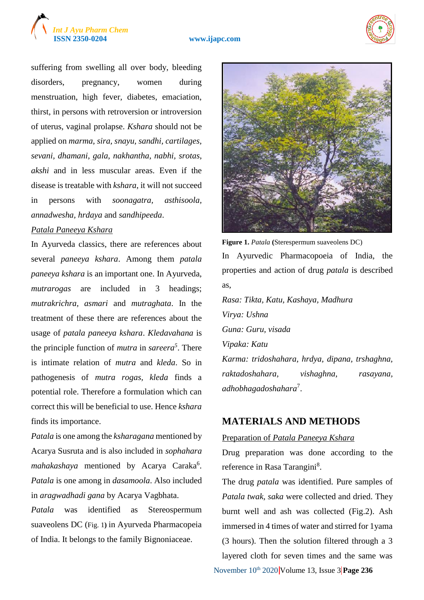# *Int J Ayu Pharm Chem*





suffering from swelling all over body, bleeding disorders, pregnancy, women during menstruation, high fever, diabetes, emaciation, thirst, in persons with retroversion or introversion of uterus, vaginal prolapse. *Kshara* should not be applied on *marma, sira, snayu, sandhi, cartilages, sevani, dhamani*, *gala*, *nakhantha*, *nabhi, srotas*, *akshi* and in less muscular areas. Even if the disease is treatable with *kshara*, it will not succeed in persons with *soonagatra, asthisoola, annadwesha, hrdaya* and *sandhipeeda*.

#### *Patala Paneeya Kshara*

In Ayurveda classics, there are references about several *paneeya kshara*. Among them *patala paneeya kshara* is an important one. In Ayurveda, *mutrarogas* are included in 3 headings; *mutrakrichra, asmari* and *mutraghata*. In the treatment of these there are references about the usage of *patala paneeya kshara*. *Kledavahana* is the principle function of *mutra* in *sareera<sup>5</sup>* . There is intimate relation of *mutra* and *kleda*. So in pathogenesis of *mutra rogas, kleda* finds a potential role. Therefore a formulation which can correct this will be beneficial to use. Hence *kshara* finds its importance.

*Patala* is one among the *ksharagana* mentioned by Acarya Susruta and is also included in *sophahara* mahakashaya mentioned by Acarya Caraka<sup>6</sup>. *Patala* is one among in *dasamoola*. Also included in *aragwadhadi gana* by Acarya Vagbhata.

*Patala* was identified as Stereospermum suaveolens DC (Fig. 1**)** in Ayurveda Pharmacopeia of India. It belongs to the family Bignoniaceae.



**Figure 1.** *Patala* **(**Sterespermum suaveolens DC) In Ayurvedic Pharmacopoeia of India, the properties and action of drug *patala* is described as,

*Rasa: Tikta, Katu, Kashaya, Madhura Virya: Ushna Guna: Guru, visada Vipaka: Katu Karma: tridoshahara, hrdya, dipana, trshaghna, raktadoshahara, vishaghna, rasayana, adhobhagadoshahara*<sup>7</sup> .

# **MATERIALS AND METHODS**

#### Preparation of *Patala Paneeya Kshara*

Drug preparation was done according to the reference in Rasa Tarangini<sup>8</sup>.

The drug *patala* was identified. Pure samples of *Patala twak, saka* were collected and dried. They burnt well and ash was collected (Fig.2). Ash immersed in 4 times of water and stirred for 1yama (3 hours). Then the solution filtered through a 3 layered cloth for seven times and the same was

November 10<sup>th</sup> 2020 Volume 13, Issue 3 Page 236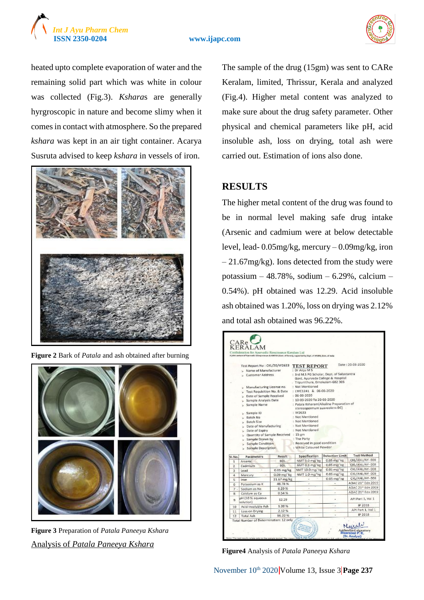



heated upto complete evaporation of water and the remaining solid part which was white in colour was collected (Fig.3). *Kshara*s are generally hyrgroscopic in nature and become slimy when it comes in contact with atmosphere. So the prepared *kshara* was kept in an air tight container. Acarya Susruta advised to keep *kshara* in vessels of iron.



**Figure 2** Bark of *Patala* and ash obtained after burning



**Figure 3** Preparation of *Patala Paneeya Kshara* Analysis of *Patala Paneeya Kshara*

The sample of the drug (15gm) was sent to CARe Keralam, limited, Thrissur, Kerala and analyzed (Fig.4). Higher metal content was analyzed to make sure about the drug safety parameter. Other physical and chemical parameters like pH, acid insoluble ash, loss on drying, total ash were carried out. Estimation of ions also done.

## **RESULTS**

The higher metal content of the drug was found to be in normal level making safe drug intake (Arsenic and cadmium were at below detectable level, lead- 0.05mg/kg, mercury – 0.09mg/kg, iron  $-21.67mg/kg$ ). Ions detected from the study were potassium – 48.78%, sodium – 6.29%, calcium – 0.54%). pH obtained was 12.29. Acid insoluble ash obtained was 1.20%, loss on drying was 2.12% and total ash obtained was 96.22%.

|                                                   | Test Report No: CKL/20/W2633               |                 | <b>TEST REPORT</b>                                                                                                   |                        | Date: 20-03-2020                                                          |
|---------------------------------------------------|--------------------------------------------|-----------------|----------------------------------------------------------------------------------------------------------------------|------------------------|---------------------------------------------------------------------------|
|                                                   | > Name of Manufacturer                     |                 | : Dr Anju M S                                                                                                        |                        |                                                                           |
|                                                   | Customer Address                           |                 | : 3rd M.S PG Scholar, Dept. of Salyatantra<br>Govt. Ayurveda College & Hospital<br>. Tripunithura, Ernakulam-682 305 |                        |                                                                           |
|                                                   | » Manufacturing License no.                |                 | : Not Mentioned                                                                                                      |                        |                                                                           |
|                                                   | > Test Requisition No. & Date              |                 | : LWC1241 & 06-03-2020                                                                                               |                        |                                                                           |
| Date of Sample Received<br>> Sample Analysis Date |                                            |                 | $: 06 - 03 - 2020$<br>: 10-03-2020 To 20-03-2020                                                                     |                        |                                                                           |
|                                                   |                                            |                 |                                                                                                                      |                        |                                                                           |
| > Sample ID                                       |                                            |                 | : W2633                                                                                                              |                        |                                                                           |
|                                                   | Batch No                                   |                 | : Not Mentioned                                                                                                      |                        |                                                                           |
| > Batch Size                                      |                                            |                 | : Not Mentioned<br>: Not Mentioned                                                                                   |                        |                                                                           |
|                                                   | Date of Manufacturing                      |                 | : Not Mentioned                                                                                                      |                        |                                                                           |
|                                                   | Date of Expiry                             |                 |                                                                                                                      |                        |                                                                           |
|                                                   |                                            |                 |                                                                                                                      |                        |                                                                           |
|                                                   | Quantity of Sample Received : 15 gm        |                 |                                                                                                                      |                        |                                                                           |
|                                                   | > Sample Drawn by                          |                 | : The Party                                                                                                          |                        |                                                                           |
|                                                   | > Sample Condition<br>> Sample Description |                 | : Received in good condition<br>: White Coloured Powder                                                              |                        |                                                                           |
|                                                   | Parameters                                 | Result          | Specification                                                                                                        | <b>Detection Limit</b> | <b>Test Method</b>                                                        |
| SI.No.<br>$\mathbf{1}$                            | Arsenic                                    | <b>BDL</b>      | NMT 3.0 mg/ kg                                                                                                       | $0.05$ mg/ $kg$        | CKL/ANL/AY-008                                                            |
|                                                   | Cadmium                                    | <b>BDL</b>      | NMT 0.3 mg/kg                                                                                                        | $0.05$ mg/ $kg$        | CKL/ANL/AY-008                                                            |
| $\overline{2}$<br>3                               | Lead                                       | $0.05$ mg/kg    | NMT 10.0 mg/ kg                                                                                                      | 0.05 mg/ kg            | CKL/ANL/AY-008                                                            |
| $\overline{a}$                                    | Mercury                                    | $0.09$ mg/ $kg$ | NMT 1.0 mg/ kg                                                                                                       | $0.05$ mg/ $kg$        | CKL/ANL/AY-008                                                            |
| 5                                                 | Iron                                       | 21.67 mg/kg     |                                                                                                                      | $0.05$ mg/ $kg$        | CKL/ANL/AY-008                                                            |
| 6                                                 | Potassium as K                             | 48.78%          |                                                                                                                      |                        |                                                                           |
| 7.                                                | Sodium as Na                               | 6.29%           | ۰                                                                                                                    |                        |                                                                           |
| 8                                                 | Calcium as Ca                              | 0.54%           |                                                                                                                      |                        |                                                                           |
| $\overline{a}$                                    | pH (10 % aqueous<br>solution)              | 12.29           |                                                                                                                      |                        | API Part 1, Vol 1                                                         |
| 10                                                | Acid Insoluble Ash                         | 1.20%           | ü                                                                                                                    | ٠                      | AOAC 21st Edn 2019<br>AOAC 21st Edn 2019<br>AOAC 21st Edn 2019<br>IP 2018 |
| 11                                                | Loss on Drying                             | 2.12%           |                                                                                                                      |                        | API Part 1, Vol 1<br>IP 2018                                              |

**Figure4** Analysis of *Patala Paneeya Kshara*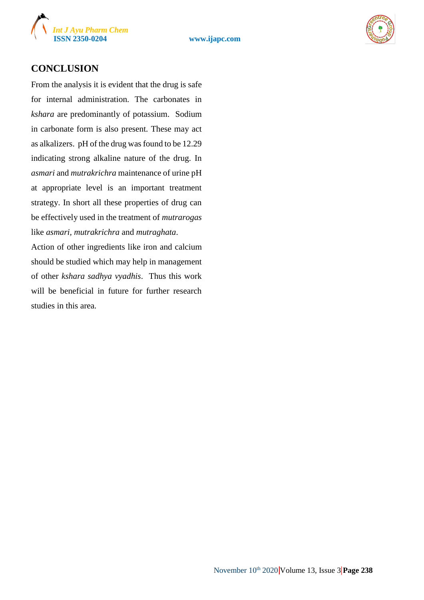



## **CONCLUSION**

From the analysis it is evident that the drug is safe for internal administration. The carbonates in *kshara* are predominantly of potassium. Sodium in carbonate form is also present. These may act as alkalizers. pH of the drug was found to be 12.29 indicating strong alkaline nature of the drug. In *asmari* and *mutrakrichra* maintenance of urine pH at appropriate level is an important treatment strategy. In short all these properties of drug can be effectively used in the treatment of *mutrarogas* like *asmari, mutrakrichra* and *mutraghata*.

Action of other ingredients like iron and calcium should be studied which may help in management of other *kshara sadhya vyadhis*. Thus this work will be beneficial in future for further research studies in this area.